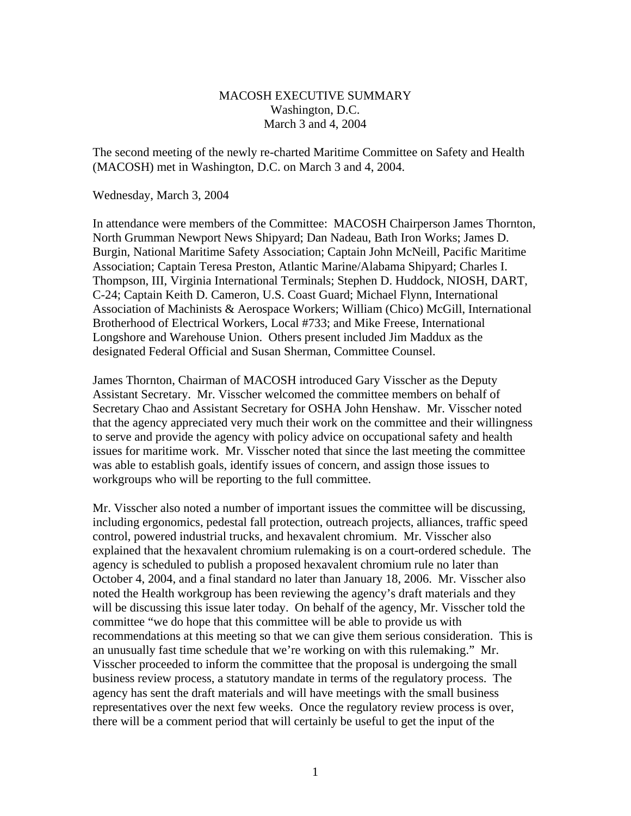## MACOSH EXECUTIVE SUMMARY Washington, D.C. March 3 and 4, 2004

The second meeting of the newly re-charted Maritime Committee on Safety and Health (MACOSH) met in Washington, D.C. on March 3 and 4, 2004.

Wednesday, March 3, 2004

In attendance were members of the Committee: MACOSH Chairperson James Thornton, North Grumman Newport News Shipyard; Dan Nadeau, Bath Iron Works; James D. Burgin, National Maritime Safety Association; Captain John McNeill, Pacific Maritime Association; Captain Teresa Preston, Atlantic Marine/Alabama Shipyard; Charles I. Thompson, III, Virginia International Terminals; Stephen D. Huddock, NIOSH, DART, C-24; Captain Keith D. Cameron, U.S. Coast Guard; Michael Flynn, International Association of Machinists & Aerospace Workers; William (Chico) McGill, International Brotherhood of Electrical Workers, Local #733; and Mike Freese, International Longshore and Warehouse Union. Others present included Jim Maddux as the designated Federal Official and Susan Sherman, Committee Counsel.

James Thornton, Chairman of MACOSH introduced Gary Visscher as the Deputy Assistant Secretary. Mr. Visscher welcomed the committee members on behalf of Secretary Chao and Assistant Secretary for OSHA John Henshaw. Mr. Visscher noted that the agency appreciated very much their work on the committee and their willingness to serve and provide the agency with policy advice on occupational safety and health issues for maritime work. Mr. Visscher noted that since the last meeting the committee was able to establish goals, identify issues of concern, and assign those issues to workgroups who will be reporting to the full committee.

Mr. Visscher also noted a number of important issues the committee will be discussing, including ergonomics, pedestal fall protection, outreach projects, alliances, traffic speed control, powered industrial trucks, and hexavalent chromium. Mr. Visscher also explained that the hexavalent chromium rulemaking is on a court-ordered schedule. The agency is scheduled to publish a proposed hexavalent chromium rule no later than October 4, 2004, and a final standard no later than January 18, 2006. Mr. Visscher also noted the Health workgroup has been reviewing the agency's draft materials and they will be discussing this issue later today. On behalf of the agency, Mr. Visscher told the committee "we do hope that this committee will be able to provide us with recommendations at this meeting so that we can give them serious consideration. This is an unusually fast time schedule that we're working on with this rulemaking." Mr. Visscher proceeded to inform the committee that the proposal is undergoing the small business review process, a statutory mandate in terms of the regulatory process. The agency has sent the draft materials and will have meetings with the small business representatives over the next few weeks. Once the regulatory review process is over, there will be a comment period that will certainly be useful to get the input of the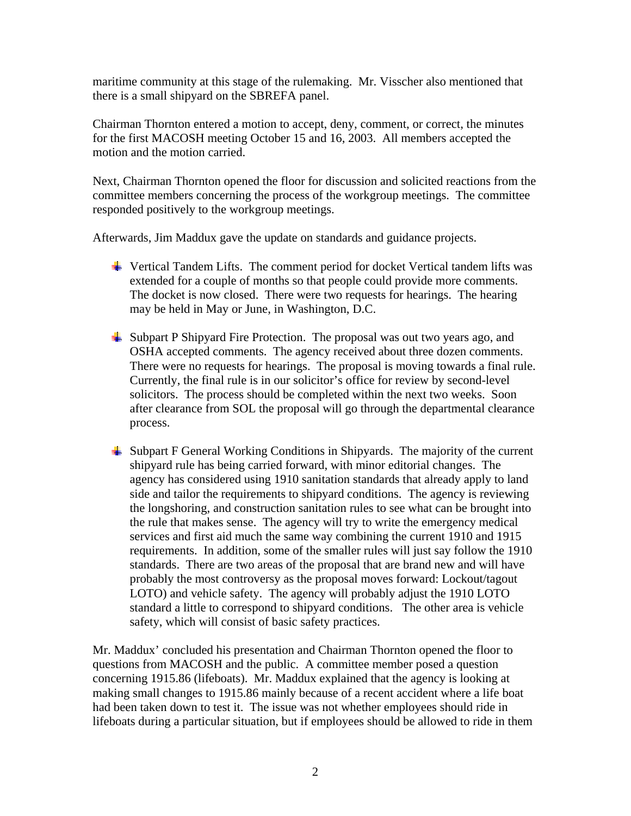maritime community at this stage of the rulemaking. Mr. Visscher also mentioned that there is a small shipyard on the SBREFA panel.

Chairman Thornton entered a motion to accept, deny, comment, or correct, the minutes for the first MACOSH meeting October 15 and 16, 2003. All members accepted the motion and the motion carried.

Next, Chairman Thornton opened the floor for discussion and solicited reactions from the committee members concerning the process of the workgroup meetings. The committee responded positively to the workgroup meetings.

Afterwards, Jim Maddux gave the update on standards and guidance projects.

- $\overline{\phantom{a}}$  Vertical Tandem Lifts. The comment period for docket Vertical tandem lifts was extended for a couple of months so that people could provide more comments. The docket is now closed. There were two requests for hearings. The hearing may be held in May or June, in Washington, D.C.
- $\triangleq$  Subpart P Shipyard Fire Protection. The proposal was out two years ago, and OSHA accepted comments. The agency received about three dozen comments. There were no requests for hearings. The proposal is moving towards a final rule. Currently, the final rule is in our solicitor's office for review by second-level solicitors. The process should be completed within the next two weeks. Soon after clearance from SOL the proposal will go through the departmental clearance process.
- $\downarrow$  Subpart F General Working Conditions in Shipyards. The majority of the current shipyard rule has being carried forward, with minor editorial changes. The agency has considered using 1910 sanitation standards that already apply to land side and tailor the requirements to shipyard conditions. The agency is reviewing the longshoring, and construction sanitation rules to see what can be brought into the rule that makes sense. The agency will try to write the emergency medical services and first aid much the same way combining the current 1910 and 1915 requirements. In addition, some of the smaller rules will just say follow the 1910 standards. There are two areas of the proposal that are brand new and will have probably the most controversy as the proposal moves forward: Lockout/tagout LOTO) and vehicle safety. The agency will probably adjust the 1910 LOTO standard a little to correspond to shipyard conditions. The other area is vehicle safety, which will consist of basic safety practices.

Mr. Maddux' concluded his presentation and Chairman Thornton opened the floor to questions from MACOSH and the public. A committee member posed a question concerning 1915.86 (lifeboats). Mr. Maddux explained that the agency is looking at making small changes to 1915.86 mainly because of a recent accident where a life boat had been taken down to test it. The issue was not whether employees should ride in lifeboats during a particular situation, but if employees should be allowed to ride in them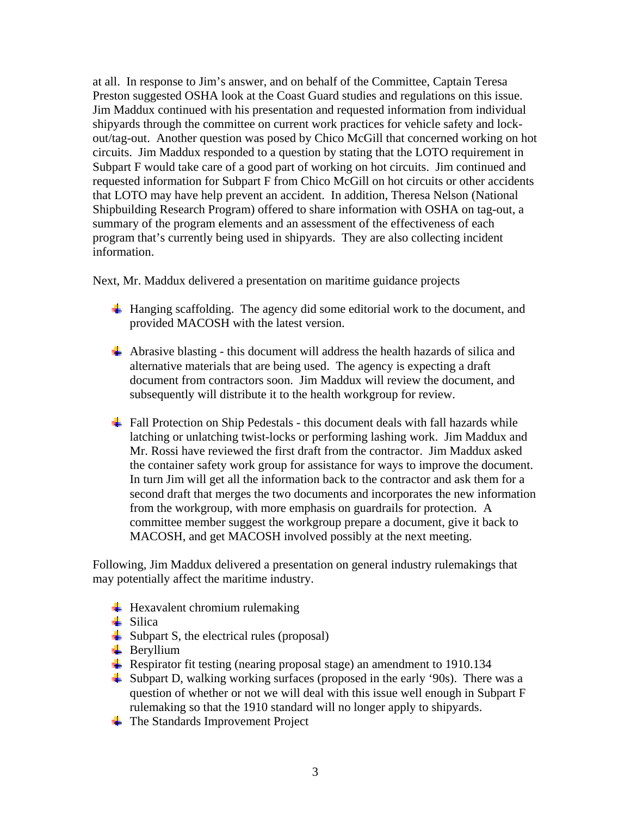at all. In response to Jim's answer, and on behalf of the Committee, Captain Teresa Preston suggested OSHA look at the Coast Guard studies and regulations on this issue. Jim Maddux continued with his presentation and requested information from individual shipyards through the committee on current work practices for vehicle safety and lockout/tag-out. Another question was posed by Chico McGill that concerned working on hot circuits. Jim Maddux responded to a question by stating that the LOTO requirement in Subpart F would take care of a good part of working on hot circuits. Jim continued and requested information for Subpart F from Chico McGill on hot circuits or other accidents that LOTO may have help prevent an accident. In addition, Theresa Nelson (National Shipbuilding Research Program) offered to share information with OSHA on tag-out, a summary of the program elements and an assessment of the effectiveness of each program that's currently being used in shipyards. They are also collecting incident information.

Next, Mr. Maddux delivered a presentation on maritime guidance projects

- $\ddot{\text{H}}$  Hanging scaffolding. The agency did some editorial work to the document, and provided MACOSH with the latest version.
- $\overline{\text{ }+}$  Abrasive blasting this document will address the health hazards of silica and alternative materials that are being used. The agency is expecting a draft document from contractors soon. Jim Maddux will review the document, and subsequently will distribute it to the health workgroup for review.
- $\overline{\text{H}}$  Fall Protection on Ship Pedestals this document deals with fall hazards while latching or unlatching twist-locks or performing lashing work. Jim Maddux and Mr. Rossi have reviewed the first draft from the contractor. Jim Maddux asked the container safety work group for assistance for ways to improve the document. In turn Jim will get all the information back to the contractor and ask them for a second draft that merges the two documents and incorporates the new information from the workgroup, with more emphasis on guardrails for protection. A committee member suggest the workgroup prepare a document, give it back to MACOSH, and get MACOSH involved possibly at the next meeting.

Following, Jim Maddux delivered a presentation on general industry rulemakings that may potentially affect the maritime industry.

- $\ddot{\text{H}}$  Hexavalent chromium rulemaking
- $\frac{1}{2}$  Silica
- $\downarrow$  Subpart S, the electrical rules (proposal)
- $\overline{\phantom{a}}$  Beryllium
- Respirator fit testing (nearing proposal stage) an amendment to 1910.134
- $\frac{1}{2}$  Subpart D, walking working surfaces (proposed in the early '90s). There was a question of whether or not we will deal with this issue well enough in Subpart F rulemaking so that the 1910 standard will no longer apply to shipyards.
- $\div$  The Standards Improvement Project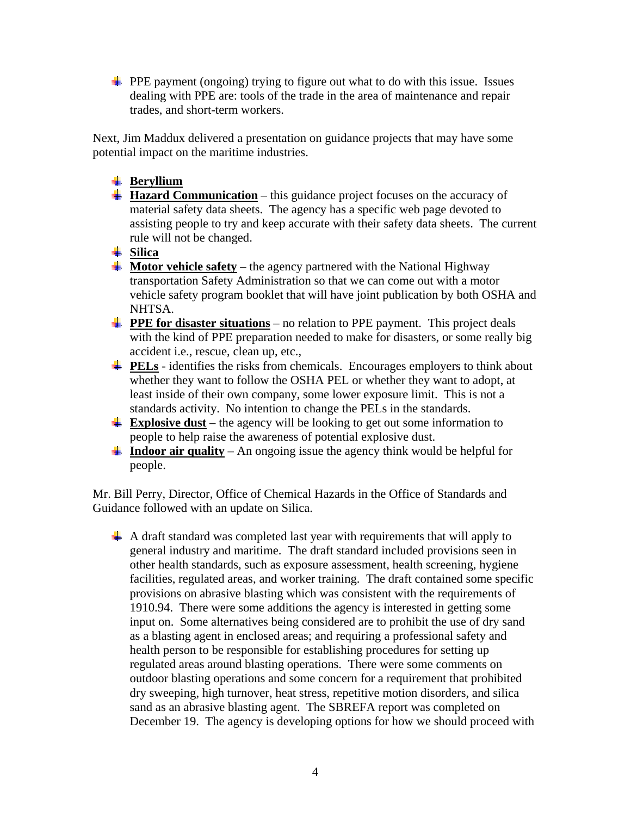**PPE** payment (ongoing) trying to figure out what to do with this issue. Issues dealing with PPE are: tools of the trade in the area of maintenance and repair trades, and short-term workers.

Next, Jim Maddux delivered a presentation on guidance projects that may have some potential impact on the maritime industries.

## **Beryllium**

- **Hazard Communication** this guidance project focuses on the accuracy of material safety data sheets. The agency has a specific web page devoted to assisting people to try and keep accurate with their safety data sheets. The current rule will not be changed.
- $\frac{1}{2}$  Silica
- $\frac{1}{\sqrt{1}}$  Motor vehicle safety the agency partnered with the National Highway transportation Safety Administration so that we can come out with a motor vehicle safety program booklet that will have joint publication by both OSHA and NHTSA.
- **PPE for disaster situations** no relation to PPE payment. This project deals with the kind of PPE preparation needed to make for disasters, or some really big accident i.e., rescue, clean up, etc.,
- **PELs** identifies the risks from chemicals. Encourages employers to think about whether they want to follow the OSHA PEL or whether they want to adopt, at least inside of their own company, some lower exposure limit. This is not a standards activity. No intention to change the PELs in the standards.
- **Explosive dust** the agency will be looking to get out some information to people to help raise the awareness of potential explosive dust.
- **上 Indoor air quality** An ongoing issue the agency think would be helpful for people.

Mr. Bill Perry, Director, Office of Chemical Hazards in the Office of Standards and Guidance followed with an update on Silica.

 $\overline{\textbf{A}}$  A draft standard was completed last year with requirements that will apply to general industry and maritime. The draft standard included provisions seen in other health standards, such as exposure assessment, health screening, hygiene facilities, regulated areas, and worker training. The draft contained some specific provisions on abrasive blasting which was consistent with the requirements of 1910.94. There were some additions the agency is interested in getting some input on. Some alternatives being considered are to prohibit the use of dry sand as a blasting agent in enclosed areas; and requiring a professional safety and health person to be responsible for establishing procedures for setting up regulated areas around blasting operations. There were some comments on outdoor blasting operations and some concern for a requirement that prohibited dry sweeping, high turnover, heat stress, repetitive motion disorders, and silica sand as an abrasive blasting agent. The SBREFA report was completed on December 19. The agency is developing options for how we should proceed with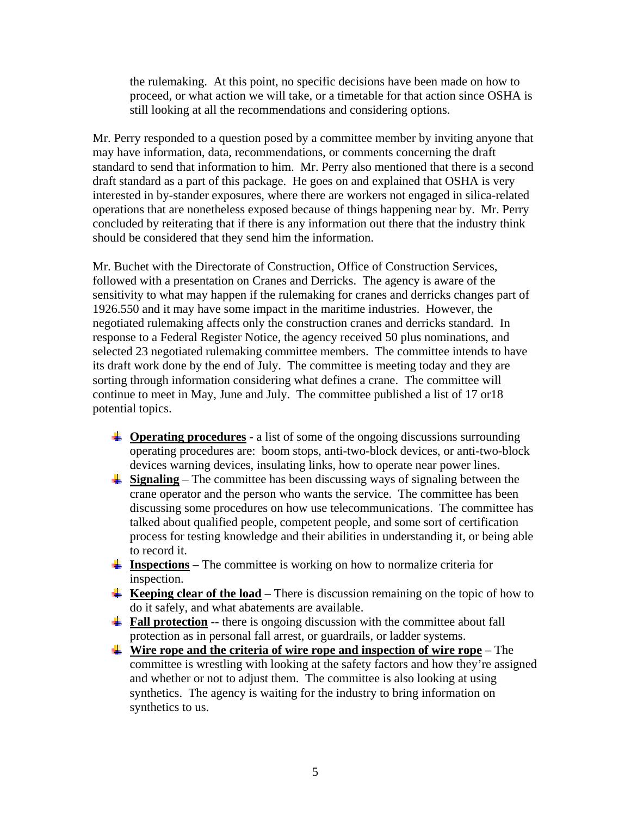the rulemaking. At this point, no specific decisions have been made on how to proceed, or what action we will take, or a timetable for that action since OSHA is still looking at all the recommendations and considering options.

Mr. Perry responded to a question posed by a committee member by inviting anyone that may have information, data, recommendations, or comments concerning the draft standard to send that information to him. Mr. Perry also mentioned that there is a second draft standard as a part of this package. He goes on and explained that OSHA is very interested in by-stander exposures, where there are workers not engaged in silica-related operations that are nonetheless exposed because of things happening near by. Mr. Perry concluded by reiterating that if there is any information out there that the industry think should be considered that they send him the information.

Mr. Buchet with the Directorate of Construction, Office of Construction Services, followed with a presentation on Cranes and Derricks. The agency is aware of the sensitivity to what may happen if the rulemaking for cranes and derricks changes part of 1926.550 and it may have some impact in the maritime industries. However, the negotiated rulemaking affects only the construction cranes and derricks standard. In response to a Federal Register Notice, the agency received 50 plus nominations, and selected 23 negotiated rulemaking committee members. The committee intends to have its draft work done by the end of July. The committee is meeting today and they are sorting through information considering what defines a crane. The committee will continue to meet in May, June and July. The committee published a list of 17 or18 potential topics.

- $\downarrow$  **Operating procedures** a list of some of the ongoing discussions surrounding operating procedures are: boom stops, anti-two-block devices, or anti-two-block devices warning devices, insulating links, how to operate near power lines.
- **Signaling** The committee has been discussing ways of signaling between the crane operator and the person who wants the service. The committee has been discussing some procedures on how use telecommunications. The committee has talked about qualified people, competent people, and some sort of certification process for testing knowledge and their abilities in understanding it, or being able to record it.
- **Inspections** The committee is working on how to normalize criteria for inspection.
- **Keeping clear of the load** There is discussion remaining on the topic of how to do it safely, and what abatements are available.
- **Fall protection** -- there is ongoing discussion with the committee about fall protection as in personal fall arrest, or guardrails, or ladder systems.
- **Wire rope and the criteria of wire rope and inspection of wire rope** The committee is wrestling with looking at the safety factors and how they're assigned and whether or not to adjust them. The committee is also looking at using synthetics. The agency is waiting for the industry to bring information on synthetics to us.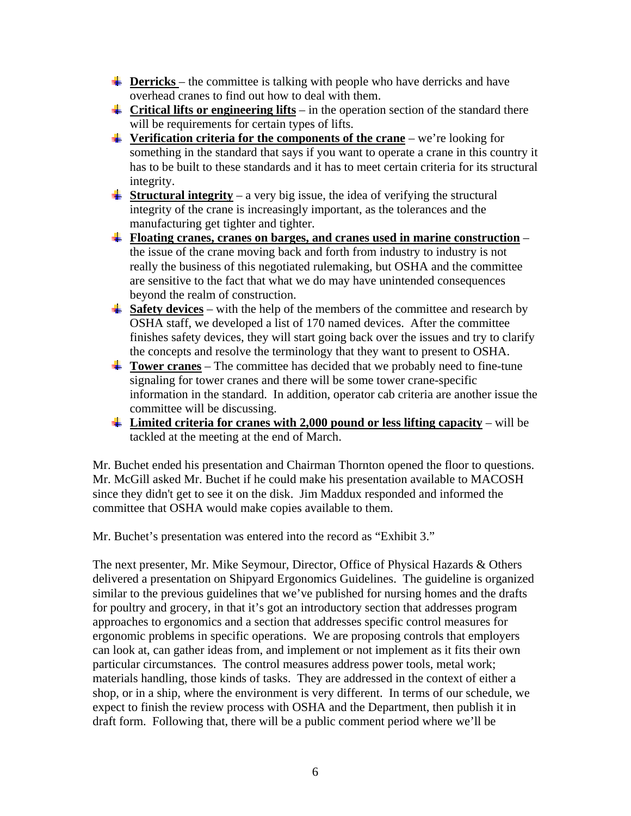- **Derricks** the committee is talking with people who have derricks and have overhead cranes to find out how to deal with them.
- **Critical lifts or engineering lifts** in the operation section of the standard there will be requirements for certain types of lifts.
- **Verification criteria for the components of the crane** we're looking for something in the standard that says if you want to operate a crane in this country it has to be built to these standards and it has to meet certain criteria for its structural integrity.
- **Structural integrity** a very big issue, the idea of verifying the structural integrity of the crane is increasingly important, as the tolerances and the manufacturing get tighter and tighter.
- **Floating cranes, cranes on barges, and cranes used in marine construction** the issue of the crane moving back and forth from industry to industry is not really the business of this negotiated rulemaking, but OSHA and the committee are sensitive to the fact that what we do may have unintended consequences beyond the realm of construction.
- $\frac{1}{2}$  **Safety devices** with the help of the members of the committee and research by OSHA staff, we developed a list of 170 named devices. After the committee finishes safety devices, they will start going back over the issues and try to clarify the concepts and resolve the terminology that they want to present to OSHA.
- **Tower cranes** The committee has decided that we probably need to fine-tune signaling for tower cranes and there will be some tower crane-specific information in the standard. In addition, operator cab criteria are another issue the committee will be discussing.
- **Limited criteria for cranes with 2,000 pound or less lifting capacity** will be tackled at the meeting at the end of March.

Mr. Buchet ended his presentation and Chairman Thornton opened the floor to questions. Mr. McGill asked Mr. Buchet if he could make his presentation available to MACOSH since they didn't get to see it on the disk. Jim Maddux responded and informed the committee that OSHA would make copies available to them.

Mr. Buchet's presentation was entered into the record as "Exhibit 3."

The next presenter, Mr. Mike Seymour, Director, Office of Physical Hazards & Others delivered a presentation on Shipyard Ergonomics Guidelines. The guideline is organized similar to the previous guidelines that we've published for nursing homes and the drafts for poultry and grocery, in that it's got an introductory section that addresses program approaches to ergonomics and a section that addresses specific control measures for ergonomic problems in specific operations. We are proposing controls that employers can look at, can gather ideas from, and implement or not implement as it fits their own particular circumstances. The control measures address power tools, metal work; materials handling, those kinds of tasks. They are addressed in the context of either a shop, or in a ship, where the environment is very different. In terms of our schedule, we expect to finish the review process with OSHA and the Department, then publish it in draft form. Following that, there will be a public comment period where we'll be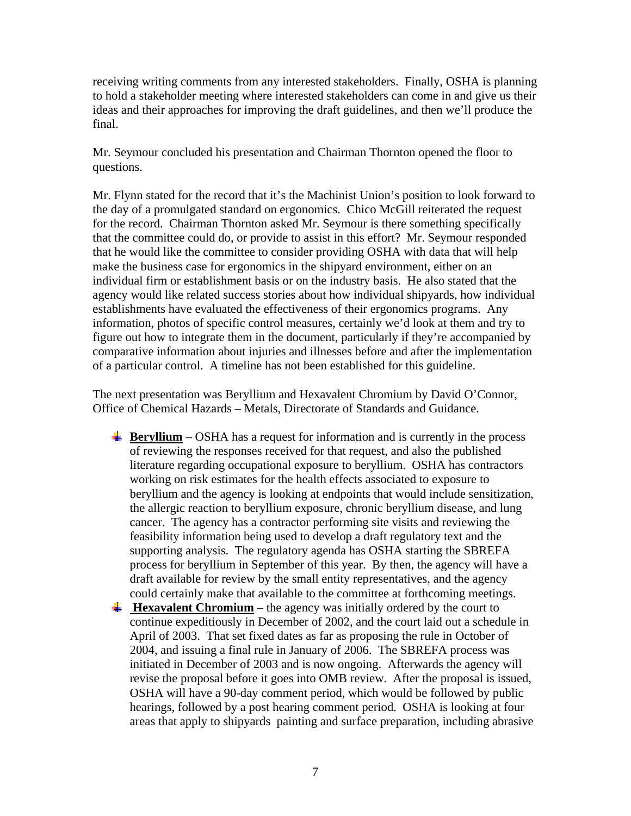receiving writing comments from any interested stakeholders. Finally, OSHA is planning to hold a stakeholder meeting where interested stakeholders can come in and give us their ideas and their approaches for improving the draft guidelines, and then we'll produce the final.

Mr. Seymour concluded his presentation and Chairman Thornton opened the floor to questions.

Mr. Flynn stated for the record that it's the Machinist Union's position to look forward to the day of a promulgated standard on ergonomics. Chico McGill reiterated the request for the record. Chairman Thornton asked Mr. Seymour is there something specifically that the committee could do, or provide to assist in this effort? Mr. Seymour responded that he would like the committee to consider providing OSHA with data that will help make the business case for ergonomics in the shipyard environment, either on an individual firm or establishment basis or on the industry basis. He also stated that the agency would like related success stories about how individual shipyards, how individual establishments have evaluated the effectiveness of their ergonomics programs. Any information, photos of specific control measures, certainly we'd look at them and try to figure out how to integrate them in the document, particularly if they're accompanied by comparative information about injuries and illnesses before and after the implementation of a particular control. A timeline has not been established for this guideline.

The next presentation was Beryllium and Hexavalent Chromium by David O'Connor, Office of Chemical Hazards – Metals, Directorate of Standards and Guidance.

- **Beryllium** OSHA has a request for information and is currently in the process of reviewing the responses received for that request, and also the published literature regarding occupational exposure to beryllium. OSHA has contractors working on risk estimates for the health effects associated to exposure to beryllium and the agency is looking at endpoints that would include sensitization, the allergic reaction to beryllium exposure, chronic beryllium disease, and lung cancer. The agency has a contractor performing site visits and reviewing the feasibility information being used to develop a draft regulatory text and the supporting analysis. The regulatory agenda has OSHA starting the SBREFA process for beryllium in September of this year. By then, the agency will have a draft available for review by the small entity representatives, and the agency could certainly make that available to the committee at forthcoming meetings.
- **Hexavalent Chromium** the agency was initially ordered by the court to continue expeditiously in December of 2002, and the court laid out a schedule in April of 2003. That set fixed dates as far as proposing the rule in October of 2004, and issuing a final rule in January of 2006. The SBREFA process was initiated in December of 2003 and is now ongoing. Afterwards the agency will revise the proposal before it goes into OMB review. After the proposal is issued, OSHA will have a 90-day comment period, which would be followed by public hearings, followed by a post hearing comment period. OSHA is looking at four areas that apply to shipyards painting and surface preparation, including abrasive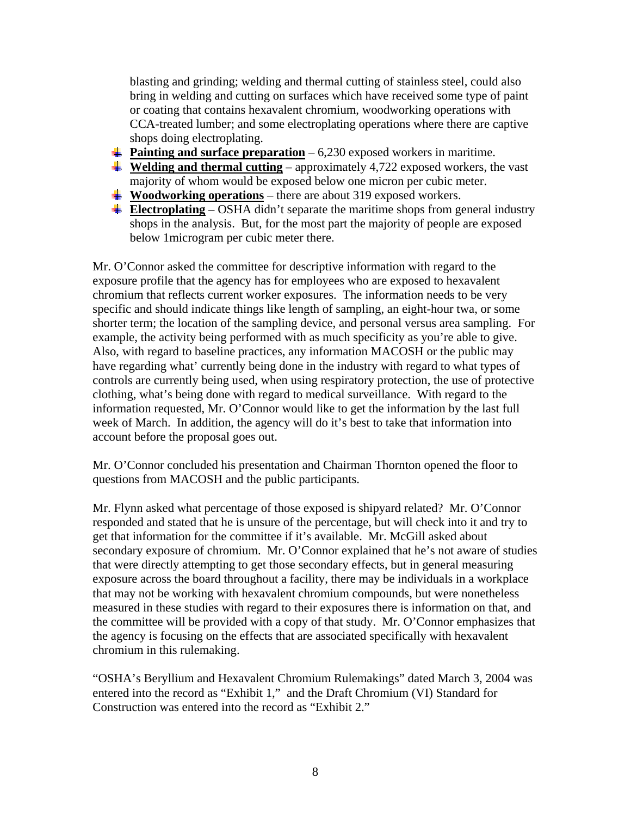blasting and grinding; welding and thermal cutting of stainless steel, could also bring in welding and cutting on surfaces which have received some type of paint or coating that contains hexavalent chromium, woodworking operations with CCA-treated lumber; and some electroplating operations where there are captive shops doing electroplating.

- **Painting and surface preparation** 6,230 exposed workers in maritime.
- $\frac{4}{4}$  **Welding and thermal cutting** approximately 4,722 exposed workers, the vast majority of whom would be exposed below one micron per cubic meter.
- **Woodworking operations** there are about 319 exposed workers.
- **Electroplating** OSHA didn't separate the maritime shops from general industry shops in the analysis. But, for the most part the majority of people are exposed below 1microgram per cubic meter there.

Mr. O'Connor asked the committee for descriptive information with regard to the exposure profile that the agency has for employees who are exposed to hexavalent chromium that reflects current worker exposures. The information needs to be very specific and should indicate things like length of sampling, an eight-hour twa, or some shorter term; the location of the sampling device, and personal versus area sampling. For example, the activity being performed with as much specificity as you're able to give. Also, with regard to baseline practices, any information MACOSH or the public may have regarding what' currently being done in the industry with regard to what types of controls are currently being used, when using respiratory protection, the use of protective clothing, what's being done with regard to medical surveillance. With regard to the information requested, Mr. O'Connor would like to get the information by the last full week of March. In addition, the agency will do it's best to take that information into account before the proposal goes out.

Mr. O'Connor concluded his presentation and Chairman Thornton opened the floor to questions from MACOSH and the public participants.

Mr. Flynn asked what percentage of those exposed is shipyard related? Mr. O'Connor responded and stated that he is unsure of the percentage, but will check into it and try to get that information for the committee if it's available. Mr. McGill asked about secondary exposure of chromium. Mr. O'Connor explained that he's not aware of studies that were directly attempting to get those secondary effects, but in general measuring exposure across the board throughout a facility, there may be individuals in a workplace that may not be working with hexavalent chromium compounds, but were nonetheless measured in these studies with regard to their exposures there is information on that, and the committee will be provided with a copy of that study. Mr. O'Connor emphasizes that the agency is focusing on the effects that are associated specifically with hexavalent chromium in this rulemaking.

"OSHA's Beryllium and Hexavalent Chromium Rulemakings" dated March 3, 2004 was entered into the record as "Exhibit 1," and the Draft Chromium (VI) Standard for Construction was entered into the record as "Exhibit 2."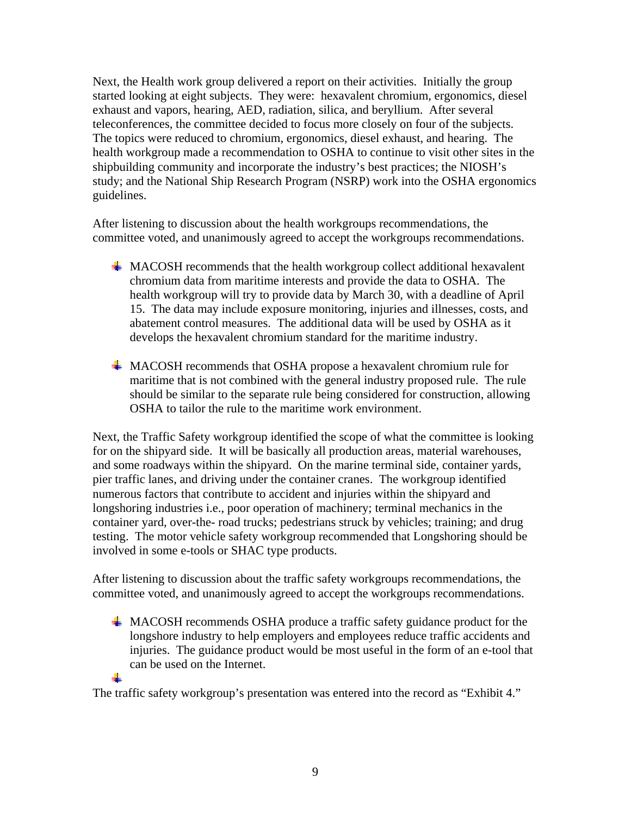Next, the Health work group delivered a report on their activities. Initially the group started looking at eight subjects. They were: hexavalent chromium, ergonomics, diesel exhaust and vapors, hearing, AED, radiation, silica, and beryllium. After several teleconferences, the committee decided to focus more closely on four of the subjects. The topics were reduced to chromium, ergonomics, diesel exhaust, and hearing. The health workgroup made a recommendation to OSHA to continue to visit other sites in the shipbuilding community and incorporate the industry's best practices; the NIOSH's study; and the National Ship Research Program (NSRP) work into the OSHA ergonomics guidelines.

After listening to discussion about the health workgroups recommendations, the committee voted, and unanimously agreed to accept the workgroups recommendations.

- $\#$  MACOSH recommends that the health workgroup collect additional hexavalent chromium data from maritime interests and provide the data to OSHA. The health workgroup will try to provide data by March 30, with a deadline of April 15. The data may include exposure monitoring, injuries and illnesses, costs, and abatement control measures. The additional data will be used by OSHA as it develops the hexavalent chromium standard for the maritime industry.
- MACOSH recommends that OSHA propose a hexavalent chromium rule for maritime that is not combined with the general industry proposed rule. The rule should be similar to the separate rule being considered for construction, allowing OSHA to tailor the rule to the maritime work environment.

Next, the Traffic Safety workgroup identified the scope of what the committee is looking for on the shipyard side. It will be basically all production areas, material warehouses, and some roadways within the shipyard. On the marine terminal side, container yards, pier traffic lanes, and driving under the container cranes. The workgroup identified numerous factors that contribute to accident and injuries within the shipyard and longshoring industries i.e., poor operation of machinery; terminal mechanics in the container yard, over-the- road trucks; pedestrians struck by vehicles; training; and drug testing. The motor vehicle safety workgroup recommended that Longshoring should be involved in some e-tools or SHAC type products.

After listening to discussion about the traffic safety workgroups recommendations, the committee voted, and unanimously agreed to accept the workgroups recommendations.

MACOSH recommends OSHA produce a traffic safety guidance product for the longshore industry to help employers and employees reduce traffic accidents and injuries. The guidance product would be most useful in the form of an e-tool that can be used on the Internet.

The traffic safety workgroup's presentation was entered into the record as "Exhibit 4."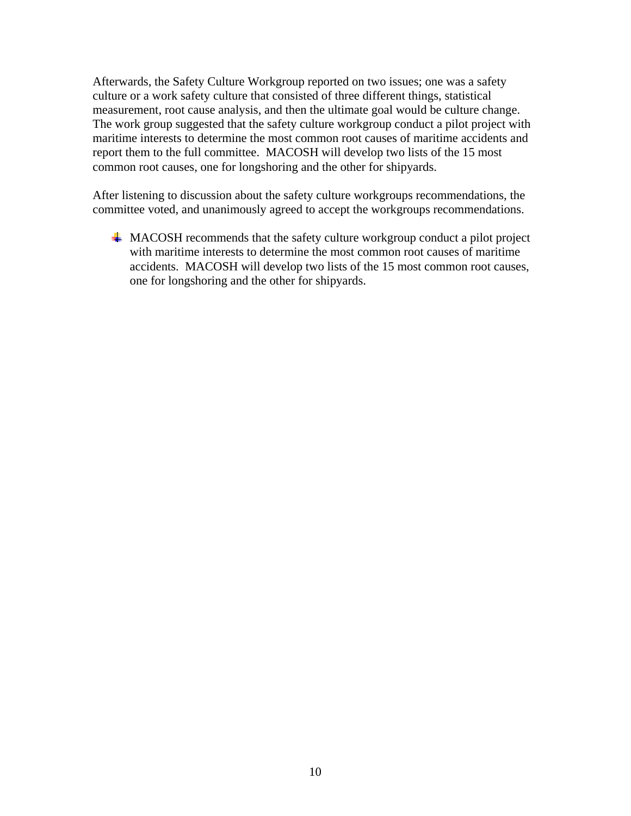Afterwards, the Safety Culture Workgroup reported on two issues; one was a safety culture or a work safety culture that consisted of three different things, statistical measurement, root cause analysis, and then the ultimate goal would be culture change. The work group suggested that the safety culture workgroup conduct a pilot project with maritime interests to determine the most common root causes of maritime accidents and report them to the full committee. MACOSH will develop two lists of the 15 most common root causes, one for longshoring and the other for shipyards.

After listening to discussion about the safety culture workgroups recommendations, the committee voted, and unanimously agreed to accept the workgroups recommendations.

 $\overline{\text{MACOSH}}$  recommends that the safety culture workgroup conduct a pilot project with maritime interests to determine the most common root causes of maritime accidents. MACOSH will develop two lists of the 15 most common root causes, one for longshoring and the other for shipyards.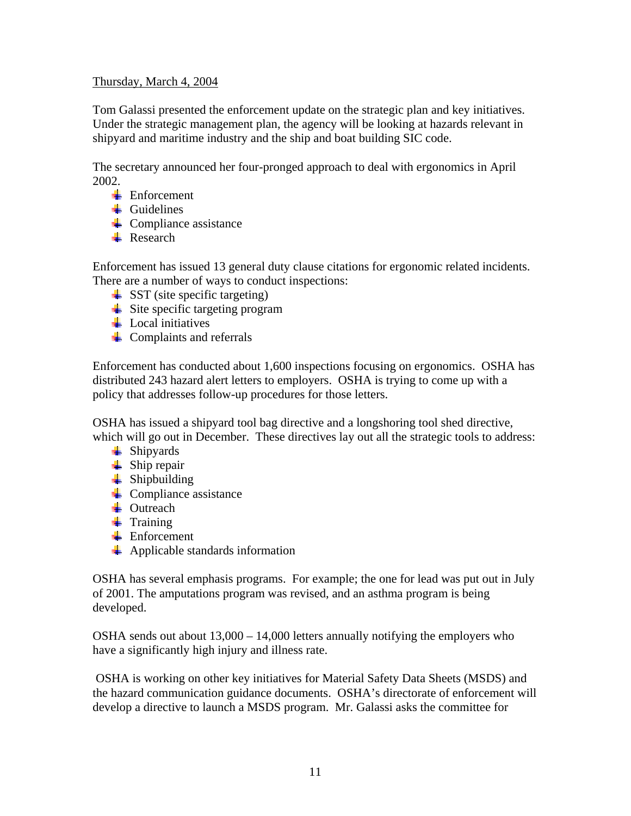## Thursday, March 4, 2004

Tom Galassi presented the enforcement update on the strategic plan and key initiatives. Under the strategic management plan, the agency will be looking at hazards relevant in shipyard and maritime industry and the ship and boat building SIC code.

The secretary announced her four-pronged approach to deal with ergonomics in April 2002.

- $\blacksquare$  Enforcement
- $\overline{\phantom{a}}$  Guidelines
- $\leftarrow$  Compliance assistance
- **Research**

Enforcement has issued 13 general duty clause citations for ergonomic related incidents. There are a number of ways to conduct inspections:

- $\triangleq$  SST (site specific targeting)
- $\div$  Site specific targeting program
- $\perp$  Local initiatives
- $\leftarrow$  Complaints and referrals

Enforcement has conducted about 1,600 inspections focusing on ergonomics. OSHA has distributed 243 hazard alert letters to employers. OSHA is trying to come up with a policy that addresses follow-up procedures for those letters.

OSHA has issued a shipyard tool bag directive and a longshoring tool shed directive, which will go out in December. These directives lay out all the strategic tools to address:

- $\leftarrow$  Shipyards
- $\frac{1}{2}$  Ship repair
- $\frac{1}{\sqrt{2}}$  Shipbuilding
- $\leftarrow$  Compliance assistance
- $\overline{\phantom{a}}$  Outreach
- $\frac{1}{\sqrt{2}}$  Training
- $\blacksquare$  Enforcement
- $\leftarrow$  Applicable standards information

OSHA has several emphasis programs. For example; the one for lead was put out in July of 2001. The amputations program was revised, and an asthma program is being developed.

OSHA sends out about 13,000 – 14,000 letters annually notifying the employers who have a significantly high injury and illness rate.

 OSHA is working on other key initiatives for Material Safety Data Sheets (MSDS) and the hazard communication guidance documents. OSHA's directorate of enforcement will develop a directive to launch a MSDS program. Mr. Galassi asks the committee for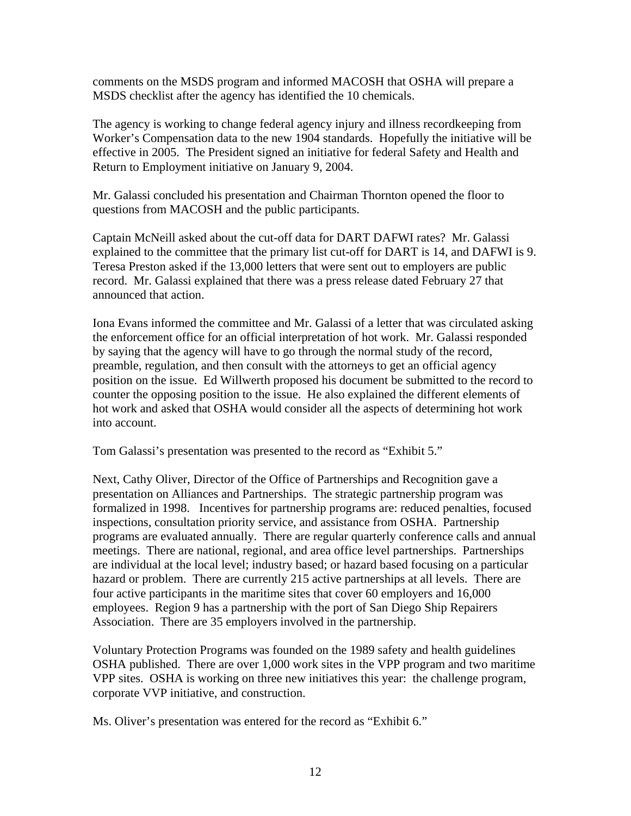comments on the MSDS program and informed MACOSH that OSHA will prepare a MSDS checklist after the agency has identified the 10 chemicals.

The agency is working to change federal agency injury and illness recordkeeping from Worker's Compensation data to the new 1904 standards. Hopefully the initiative will be effective in 2005. The President signed an initiative for federal Safety and Health and Return to Employment initiative on January 9, 2004.

Mr. Galassi concluded his presentation and Chairman Thornton opened the floor to questions from MACOSH and the public participants.

Captain McNeill asked about the cut-off data for DART DAFWI rates? Mr. Galassi explained to the committee that the primary list cut-off for DART is 14, and DAFWI is 9. Teresa Preston asked if the 13,000 letters that were sent out to employers are public record. Mr. Galassi explained that there was a press release dated February 27 that announced that action.

Iona Evans informed the committee and Mr. Galassi of a letter that was circulated asking the enforcement office for an official interpretation of hot work. Mr. Galassi responded by saying that the agency will have to go through the normal study of the record, preamble, regulation, and then consult with the attorneys to get an official agency position on the issue. Ed Willwerth proposed his document be submitted to the record to counter the opposing position to the issue. He also explained the different elements of hot work and asked that OSHA would consider all the aspects of determining hot work into account.

Tom Galassi's presentation was presented to the record as "Exhibit 5."

Next, Cathy Oliver, Director of the Office of Partnerships and Recognition gave a presentation on Alliances and Partnerships. The strategic partnership program was formalized in 1998. Incentives for partnership programs are: reduced penalties, focused inspections, consultation priority service, and assistance from OSHA. Partnership programs are evaluated annually. There are regular quarterly conference calls and annual meetings. There are national, regional, and area office level partnerships. Partnerships are individual at the local level; industry based; or hazard based focusing on a particular hazard or problem. There are currently 215 active partnerships at all levels. There are four active participants in the maritime sites that cover 60 employers and 16,000 employees. Region 9 has a partnership with the port of San Diego Ship Repairers Association. There are 35 employers involved in the partnership.

Voluntary Protection Programs was founded on the 1989 safety and health guidelines OSHA published. There are over 1,000 work sites in the VPP program and two maritime VPP sites. OSHA is working on three new initiatives this year: the challenge program, corporate VVP initiative, and construction.

Ms. Oliver's presentation was entered for the record as "Exhibit 6."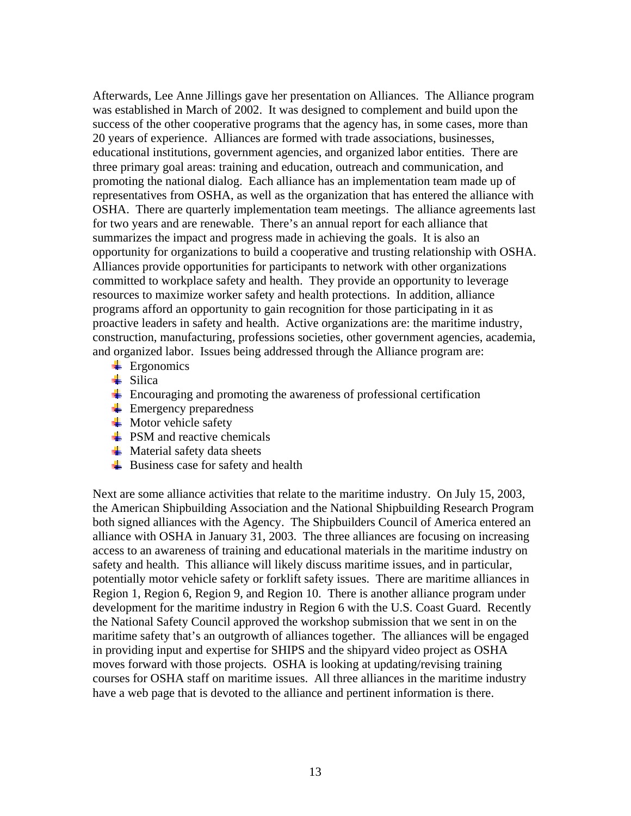Afterwards, Lee Anne Jillings gave her presentation on Alliances. The Alliance program was established in March of 2002. It was designed to complement and build upon the success of the other cooperative programs that the agency has, in some cases, more than 20 years of experience. Alliances are formed with trade associations, businesses, educational institutions, government agencies, and organized labor entities. There are three primary goal areas: training and education, outreach and communication, and promoting the national dialog. Each alliance has an implementation team made up of representatives from OSHA, as well as the organization that has entered the alliance with OSHA. There are quarterly implementation team meetings. The alliance agreements last for two years and are renewable. There's an annual report for each alliance that summarizes the impact and progress made in achieving the goals. It is also an opportunity for organizations to build a cooperative and trusting relationship with OSHA. Alliances provide opportunities for participants to network with other organizations committed to workplace safety and health. They provide an opportunity to leverage resources to maximize worker safety and health protections. In addition, alliance programs afford an opportunity to gain recognition for those participating in it as proactive leaders in safety and health. Active organizations are: the maritime industry, construction, manufacturing, professions societies, other government agencies, academia, and organized labor. Issues being addressed through the Alliance program are:

- $\leftarrow$  Ergonomics
- $\overline{\phantom{a}}$  Silica
- $\ddot{\text{F}}$  Encouraging and promoting the awareness of professional certification
- $\frac{1}{2}$  Emergency preparedness
- $\blacksquare$  Motor vehicle safety
- $\div$  PSM and reactive chemicals
- $\blacksquare$  Material safety data sheets
- $\overline{\phantom{a}}$  Business case for safety and health

Next are some alliance activities that relate to the maritime industry. On July 15, 2003, the American Shipbuilding Association and the National Shipbuilding Research Program both signed alliances with the Agency. The Shipbuilders Council of America entered an alliance with OSHA in January 31, 2003. The three alliances are focusing on increasing access to an awareness of training and educational materials in the maritime industry on safety and health. This alliance will likely discuss maritime issues, and in particular, potentially motor vehicle safety or forklift safety issues. There are maritime alliances in Region 1, Region 6, Region 9, and Region 10. There is another alliance program under development for the maritime industry in Region 6 with the U.S. Coast Guard. Recently the National Safety Council approved the workshop submission that we sent in on the maritime safety that's an outgrowth of alliances together. The alliances will be engaged in providing input and expertise for SHIPS and the shipyard video project as OSHA moves forward with those projects. OSHA is looking at updating/revising training courses for OSHA staff on maritime issues. All three alliances in the maritime industry have a web page that is devoted to the alliance and pertinent information is there.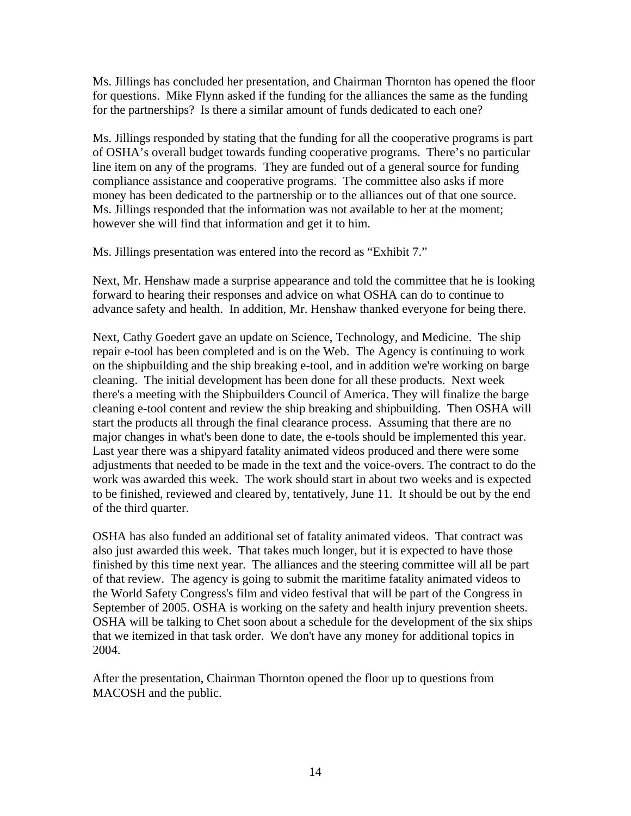Ms. Jillings has concluded her presentation, and Chairman Thornton has opened the floor for questions. Mike Flynn asked if the funding for the alliances the same as the funding for the partnerships? Is there a similar amount of funds dedicated to each one?

Ms. Jillings responded by stating that the funding for all the cooperative programs is part of OSHA's overall budget towards funding cooperative programs. There's no particular line item on any of the programs. They are funded out of a general source for funding compliance assistance and cooperative programs. The committee also asks if more money has been dedicated to the partnership or to the alliances out of that one source. Ms. Jillings responded that the information was not available to her at the moment; however she will find that information and get it to him.

Ms. Jillings presentation was entered into the record as "Exhibit 7."

Next, Mr. Henshaw made a surprise appearance and told the committee that he is looking forward to hearing their responses and advice on what OSHA can do to continue to advance safety and health. In addition, Mr. Henshaw thanked everyone for being there.

Next, Cathy Goedert gave an update on Science, Technology, and Medicine. The ship repair e-tool has been completed and is on the Web. The Agency is continuing to work on the shipbuilding and the ship breaking e-tool, and in addition we're working on barge cleaning. The initial development has been done for all these products. Next week there's a meeting with the Shipbuilders Council of America. They will finalize the barge cleaning e-tool content and review the ship breaking and shipbuilding. Then OSHA will start the products all through the final clearance process. Assuming that there are no major changes in what's been done to date, the e-tools should be implemented this year. Last year there was a shipyard fatality animated videos produced and there were some adjustments that needed to be made in the text and the voice-overs. The contract to do the work was awarded this week. The work should start in about two weeks and is expected to be finished, reviewed and cleared by, tentatively, June 11. It should be out by the end of the third quarter.

OSHA has also funded an additional set of fatality animated videos. That contract was also just awarded this week. That takes much longer, but it is expected to have those finished by this time next year. The alliances and the steering committee will all be part of that review. The agency is going to submit the maritime fatality animated videos to the World Safety Congress's film and video festival that will be part of the Congress in September of 2005. OSHA is working on the safety and health injury prevention sheets. OSHA will be talking to Chet soon about a schedule for the development of the six ships that we itemized in that task order. We don't have any money for additional topics in 2004.

After the presentation, Chairman Thornton opened the floor up to questions from MACOSH and the public.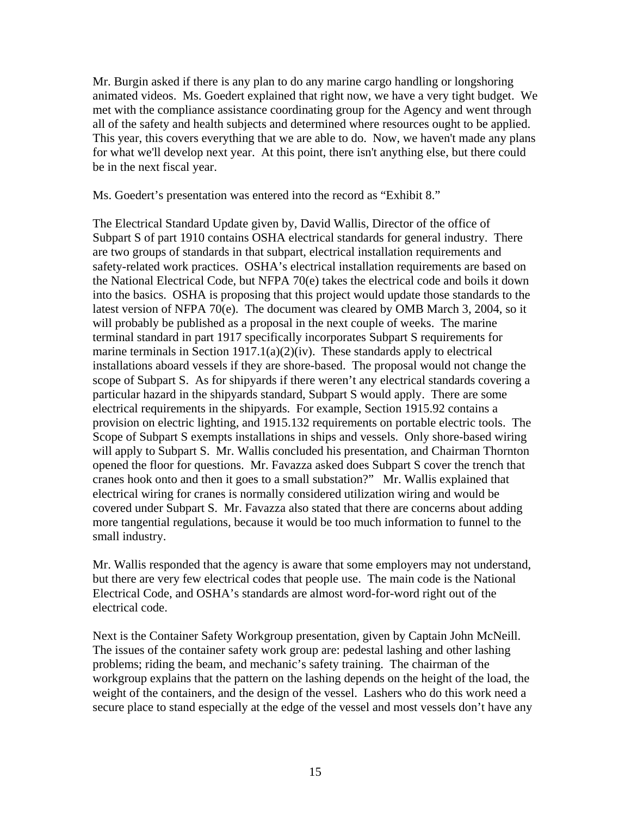Mr. Burgin asked if there is any plan to do any marine cargo handling or longshoring animated videos. Ms. Goedert explained that right now, we have a very tight budget. We met with the compliance assistance coordinating group for the Agency and went through all of the safety and health subjects and determined where resources ought to be applied. This year, this covers everything that we are able to do. Now, we haven't made any plans for what we'll develop next year. At this point, there isn't anything else, but there could be in the next fiscal year.

Ms. Goedert's presentation was entered into the record as "Exhibit 8."

The Electrical Standard Update given by, David Wallis, Director of the office of Subpart S of part 1910 contains OSHA electrical standards for general industry. There are two groups of standards in that subpart, electrical installation requirements and safety-related work practices. OSHA's electrical installation requirements are based on the National Electrical Code, but NFPA 70(e) takes the electrical code and boils it down into the basics. OSHA is proposing that this project would update those standards to the latest version of NFPA 70(e). The document was cleared by OMB March 3, 2004, so it will probably be published as a proposal in the next couple of weeks. The marine terminal standard in part 1917 specifically incorporates Subpart S requirements for marine terminals in Section  $1917.1(a)(2)(iv)$ . These standards apply to electrical installations aboard vessels if they are shore-based. The proposal would not change the scope of Subpart S. As for shipyards if there weren't any electrical standards covering a particular hazard in the shipyards standard, Subpart S would apply. There are some electrical requirements in the shipyards. For example, Section 1915.92 contains a provision on electric lighting, and 1915.132 requirements on portable electric tools. The Scope of Subpart S exempts installations in ships and vessels. Only shore-based wiring will apply to Subpart S. Mr. Wallis concluded his presentation, and Chairman Thornton opened the floor for questions. Mr. Favazza asked does Subpart S cover the trench that cranes hook onto and then it goes to a small substation?" Mr. Wallis explained that electrical wiring for cranes is normally considered utilization wiring and would be covered under Subpart S. Mr. Favazza also stated that there are concerns about adding more tangential regulations, because it would be too much information to funnel to the small industry.

Mr. Wallis responded that the agency is aware that some employers may not understand, but there are very few electrical codes that people use. The main code is the National Electrical Code, and OSHA's standards are almost word-for-word right out of the electrical code.

Next is the Container Safety Workgroup presentation, given by Captain John McNeill. The issues of the container safety work group are: pedestal lashing and other lashing problems; riding the beam, and mechanic's safety training. The chairman of the workgroup explains that the pattern on the lashing depends on the height of the load, the weight of the containers, and the design of the vessel. Lashers who do this work need a secure place to stand especially at the edge of the vessel and most vessels don't have any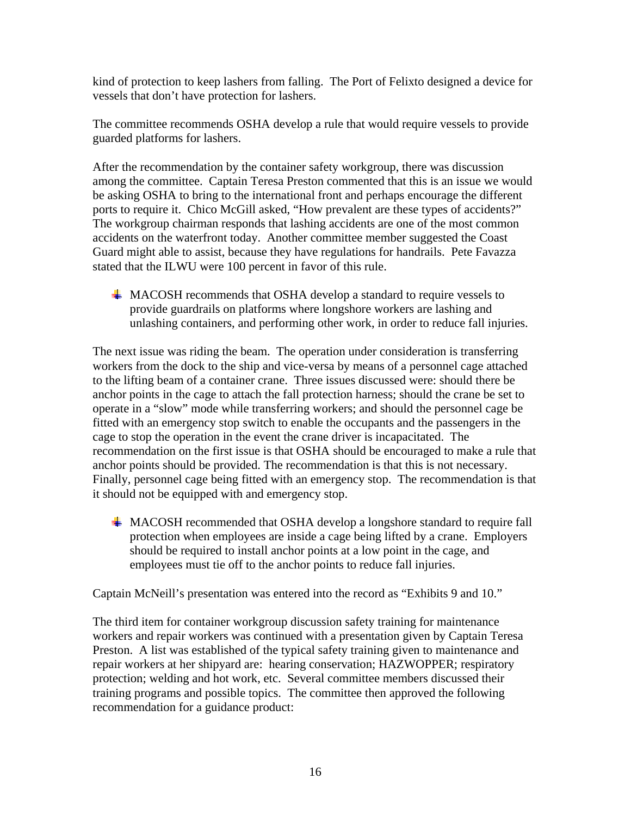kind of protection to keep lashers from falling. The Port of Felixto designed a device for vessels that don't have protection for lashers.

The committee recommends OSHA develop a rule that would require vessels to provide guarded platforms for lashers.

After the recommendation by the container safety workgroup, there was discussion among the committee. Captain Teresa Preston commented that this is an issue we would be asking OSHA to bring to the international front and perhaps encourage the different ports to require it. Chico McGill asked, "How prevalent are these types of accidents?" The workgroup chairman responds that lashing accidents are one of the most common accidents on the waterfront today. Another committee member suggested the Coast Guard might able to assist, because they have regulations for handrails. Pete Favazza stated that the ILWU were 100 percent in favor of this rule.

 $\textcolor{red}{\downarrow}$  MACOSH recommends that OSHA develop a standard to require vessels to provide guardrails on platforms where longshore workers are lashing and unlashing containers, and performing other work, in order to reduce fall injuries.

The next issue was riding the beam. The operation under consideration is transferring workers from the dock to the ship and vice-versa by means of a personnel cage attached to the lifting beam of a container crane. Three issues discussed were: should there be anchor points in the cage to attach the fall protection harness; should the crane be set to operate in a "slow" mode while transferring workers; and should the personnel cage be fitted with an emergency stop switch to enable the occupants and the passengers in the cage to stop the operation in the event the crane driver is incapacitated. The recommendation on the first issue is that OSHA should be encouraged to make a rule that anchor points should be provided. The recommendation is that this is not necessary. Finally, personnel cage being fitted with an emergency stop. The recommendation is that it should not be equipped with and emergency stop.

**MACOSH** recommended that OSHA develop a longshore standard to require fall protection when employees are inside a cage being lifted by a crane. Employers should be required to install anchor points at a low point in the cage, and employees must tie off to the anchor points to reduce fall injuries.

Captain McNeill's presentation was entered into the record as "Exhibits 9 and 10."

The third item for container workgroup discussion safety training for maintenance workers and repair workers was continued with a presentation given by Captain Teresa Preston. A list was established of the typical safety training given to maintenance and repair workers at her shipyard are: hearing conservation; HAZWOPPER; respiratory protection; welding and hot work, etc. Several committee members discussed their training programs and possible topics. The committee then approved the following recommendation for a guidance product: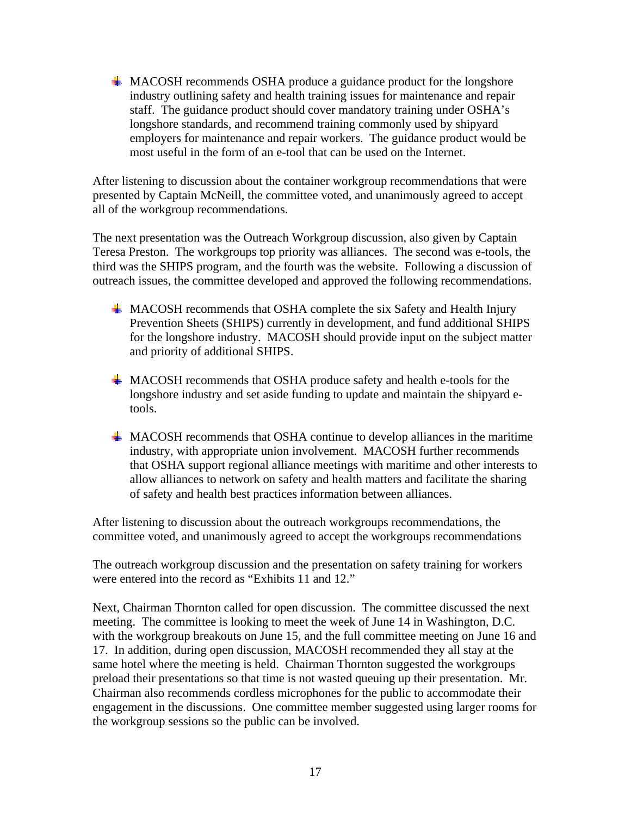$\#$  MACOSH recommends OSHA produce a guidance product for the longshore industry outlining safety and health training issues for maintenance and repair staff. The guidance product should cover mandatory training under OSHA's longshore standards, and recommend training commonly used by shipyard employers for maintenance and repair workers. The guidance product would be most useful in the form of an e-tool that can be used on the Internet.

After listening to discussion about the container workgroup recommendations that were presented by Captain McNeill, the committee voted, and unanimously agreed to accept all of the workgroup recommendations.

The next presentation was the Outreach Workgroup discussion, also given by Captain Teresa Preston. The workgroups top priority was alliances. The second was e-tools, the third was the SHIPS program, and the fourth was the website. Following a discussion of outreach issues, the committee developed and approved the following recommendations.

- $\blacktriangle$  MACOSH recommends that OSHA complete the six Safety and Health Injury Prevention Sheets (SHIPS) currently in development, and fund additional SHIPS for the longshore industry. MACOSH should provide input on the subject matter and priority of additional SHIPS.
- $\overline{\phantom{a}}$  MACOSH recommends that OSHA produce safety and health e-tools for the longshore industry and set aside funding to update and maintain the shipyard etools.
- **MACOSH** recommends that OSHA continue to develop alliances in the maritime industry, with appropriate union involvement. MACOSH further recommends that OSHA support regional alliance meetings with maritime and other interests to allow alliances to network on safety and health matters and facilitate the sharing of safety and health best practices information between alliances.

After listening to discussion about the outreach workgroups recommendations, the committee voted, and unanimously agreed to accept the workgroups recommendations

The outreach workgroup discussion and the presentation on safety training for workers were entered into the record as "Exhibits 11 and 12."

Next, Chairman Thornton called for open discussion. The committee discussed the next meeting. The committee is looking to meet the week of June 14 in Washington, D.C. with the workgroup breakouts on June 15, and the full committee meeting on June 16 and 17. In addition, during open discussion, MACOSH recommended they all stay at the same hotel where the meeting is held. Chairman Thornton suggested the workgroups preload their presentations so that time is not wasted queuing up their presentation. Mr. Chairman also recommends cordless microphones for the public to accommodate their engagement in the discussions. One committee member suggested using larger rooms for the workgroup sessions so the public can be involved.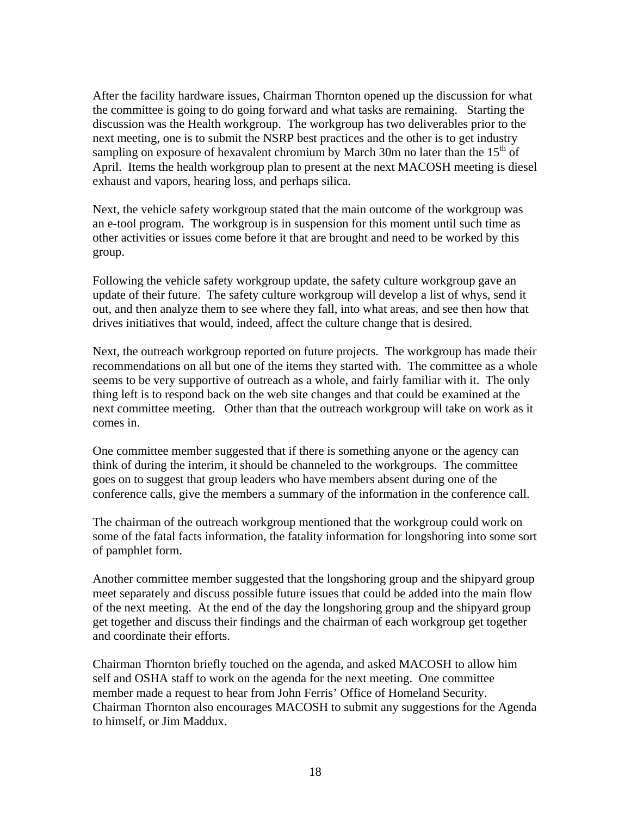After the facility hardware issues, Chairman Thornton opened up the discussion for what the committee is going to do going forward and what tasks are remaining. Starting the discussion was the Health workgroup. The workgroup has two deliverables prior to the next meeting, one is to submit the NSRP best practices and the other is to get industry sampling on exposure of hexavalent chromium by March 30m no later than the  $15<sup>th</sup>$  of April. Items the health workgroup plan to present at the next MACOSH meeting is diesel exhaust and vapors, hearing loss, and perhaps silica.

Next, the vehicle safety workgroup stated that the main outcome of the workgroup was an e-tool program. The workgroup is in suspension for this moment until such time as other activities or issues come before it that are brought and need to be worked by this group.

Following the vehicle safety workgroup update, the safety culture workgroup gave an update of their future. The safety culture workgroup will develop a list of whys, send it out, and then analyze them to see where they fall, into what areas, and see then how that drives initiatives that would, indeed, affect the culture change that is desired.

Next, the outreach workgroup reported on future projects. The workgroup has made their recommendations on all but one of the items they started with. The committee as a whole seems to be very supportive of outreach as a whole, and fairly familiar with it. The only thing left is to respond back on the web site changes and that could be examined at the next committee meeting. Other than that the outreach workgroup will take on work as it comes in.

One committee member suggested that if there is something anyone or the agency can think of during the interim, it should be channeled to the workgroups. The committee goes on to suggest that group leaders who have members absent during one of the conference calls, give the members a summary of the information in the conference call.

The chairman of the outreach workgroup mentioned that the workgroup could work on some of the fatal facts information, the fatality information for longshoring into some sort of pamphlet form.

Another committee member suggested that the longshoring group and the shipyard group meet separately and discuss possible future issues that could be added into the main flow of the next meeting. At the end of the day the longshoring group and the shipyard group get together and discuss their findings and the chairman of each workgroup get together and coordinate their efforts.

Chairman Thornton briefly touched on the agenda, and asked MACOSH to allow him self and OSHA staff to work on the agenda for the next meeting. One committee member made a request to hear from John Ferris' Office of Homeland Security. Chairman Thornton also encourages MACOSH to submit any suggestions for the Agenda to himself, or Jim Maddux.